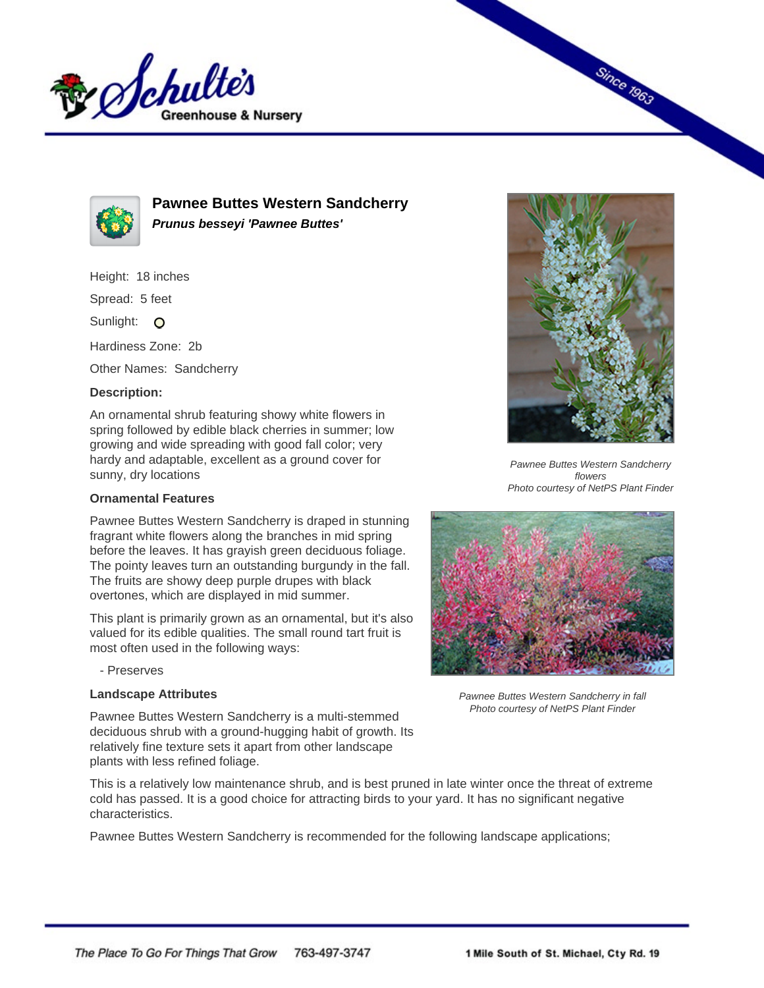



**Pawnee Buttes Western Sandcherry Prunus besseyi 'Pawnee Buttes'**

Height: 18 inches

Spread: 5 feet

Sunlight: O

Hardiness Zone: 2b

Other Names: Sandcherry

## **Description:**

An ornamental shrub featuring showy white flowers in spring followed by edible black cherries in summer; low growing and wide spreading with good fall color; very hardy and adaptable, excellent as a ground cover for sunny, dry locations

## **Ornamental Features**

Pawnee Buttes Western Sandcherry is draped in stunning fragrant white flowers along the branches in mid spring before the leaves. It has grayish green deciduous foliage. The pointy leaves turn an outstanding burgundy in the fall. The fruits are showy deep purple drupes with black overtones, which are displayed in mid summer.

This plant is primarily grown as an ornamental, but it's also valued for its edible qualities. The small round tart fruit is most often used in the following ways:

- Preserves

## **Landscape Attributes**

Pawnee Buttes Western Sandcherry is a multi-stemmed deciduous shrub with a ground-hugging habit of growth. Its relatively fine texture sets it apart from other landscape plants with less refined foliage.

This is a relatively low maintenance shrub, and is best pruned in late winter once the threat of extreme cold has passed. It is a good choice for attracting birds to your yard. It has no significant negative characteristics.

Pawnee Buttes Western Sandcherry is recommended for the following landscape applications;



**Since 1963** 

Pawnee Buttes Western Sandcherry flowers Photo courtesy of NetPS Plant Finder



Pawnee Buttes Western Sandcherry in fall Photo courtesy of NetPS Plant Finder